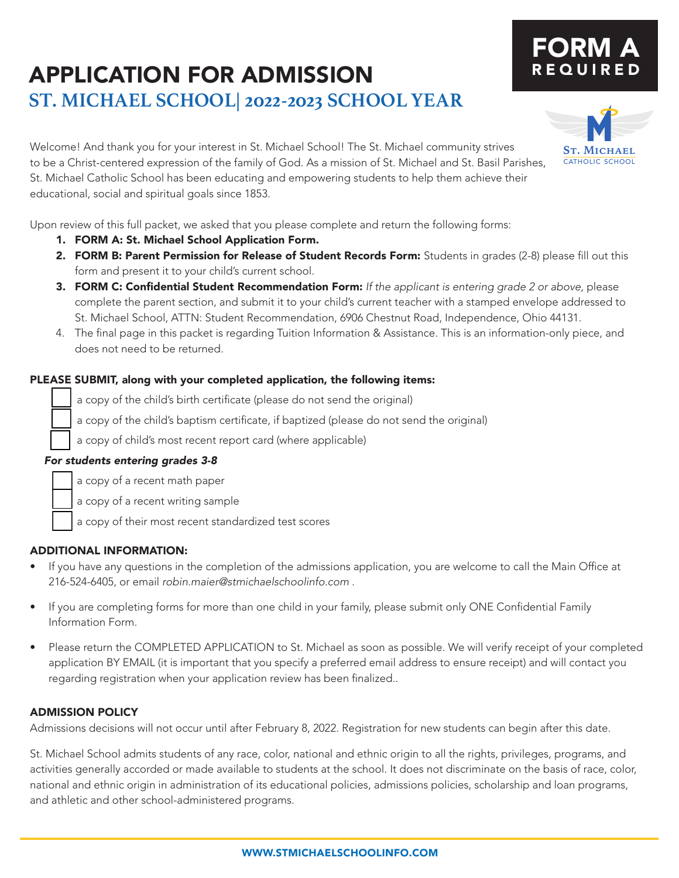## Welcome! And thank you for your interest in St. Michael School! The St. Michael community strives to be a Christ-centered expression of the family of God. As a mission of St. Michael and St. Basil Parishes, St. Michael Catholic School has been educating and empowering students to help them achieve their educational, social and spiritual goals since 1853.

Upon review of this full packet, we asked that you please complete and return the following forms:

- 1. FORM A: St. Michael School Application Form.
- 2. FORM B: Parent Permission for Release of Student Records Form: Students in grades (2-8) please fill out this form and present it to your child's current school.
- 3. FORM C: Confidential Student Recommendation Form: *If the applicant is entering grade 2 or above*, please complete the parent section, and submit it to your child's current teacher with a stamped envelope addressed to St. Michael School, ATTN: Student Recommendation, 6906 Chestnut Road, Independence, Ohio 44131.
- 4. The final page in this packet is regarding Tuition Information & Assistance. This is an information-only piece, and does not need to be returned.

### PLEASE SUBMIT, along with your completed application, the following items:

- a copy of the child's birth certificate (please do not send the original)
- a copy of the child's baptism certificate, if baptized (please do not send the original)
- a copy of child's most recent report card (where applicable)

### *For students entering grades 3-8*

a copy of a recent math paper

a copy of a recent writing sample

a copy of their most recent standardized test scores

### ADDITIONAL INFORMATION:

- If you have any questions in the completion of the admissions application, you are welcome to call the Main Office at 216-524-6405, or email *robin.maier@stmichaelschoolinfo.com* .
- If you are completing forms for more than one child in your family, please submit only ONE Confidential Family Information Form.
- Please return the COMPLETED APPLICATION to St. Michael as soon as possible. We will verify receipt of your completed application BY EMAIL (it is important that you specify a preferred email address to ensure receipt) and will contact you regarding registration when your application review has been finalized..

### ADMISSION POLICY

Admissions decisions will not occur until after February 8, 2022. Registration for new students can begin after this date.

St. Michael School admits students of any race, color, national and ethnic origin to all the rights, privileges, programs, and activities generally accorded or made available to students at the school. It does not discriminate on the basis of race, color, national and ethnic origin in administration of its educational policies, admissions policies, scholarship and loan programs, and athletic and other school-administered programs.



# FORM A REQUIRED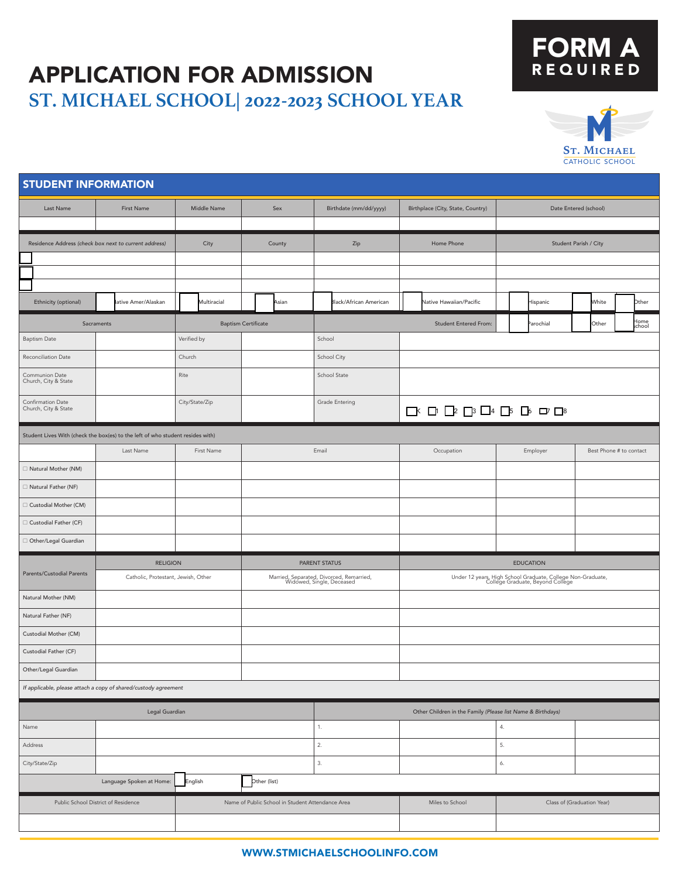## FORM A REQUIRED



| <b>STUDENT INFORMATION</b>                                                    |                                                                                |                |                                                  |                                                                       |                                                                                   |                                                                                                 |                            |  |
|-------------------------------------------------------------------------------|--------------------------------------------------------------------------------|----------------|--------------------------------------------------|-----------------------------------------------------------------------|-----------------------------------------------------------------------------------|-------------------------------------------------------------------------------------------------|----------------------------|--|
| Last Name                                                                     | <b>First Name</b>                                                              | Middle Name    | Sex                                              | Birthdate (mm/dd/yyyy)                                                | Birthplace (City, State, Country)                                                 | Date Entered (school)                                                                           |                            |  |
|                                                                               |                                                                                |                |                                                  |                                                                       |                                                                                   |                                                                                                 |                            |  |
|                                                                               | Residence Address (check box next to current address)                          | City           | County                                           | Zip                                                                   | Home Phone                                                                        |                                                                                                 | Student Parish / City      |  |
|                                                                               |                                                                                |                |                                                  |                                                                       |                                                                                   |                                                                                                 |                            |  |
|                                                                               |                                                                                |                |                                                  |                                                                       |                                                                                   |                                                                                                 |                            |  |
|                                                                               |                                                                                |                |                                                  |                                                                       |                                                                                   |                                                                                                 |                            |  |
| Ethnicity (optional)                                                          | lative Amer/Alaskan                                                            | Multiracial    | Asian                                            | Black/African American                                                | Native Hawaiian/Pacific                                                           | Hispanic                                                                                        | White<br>Other             |  |
|                                                                               | Sacraments                                                                     |                | <b>Baptism Certificate</b>                       |                                                                       | <b>Student Entered From:</b>                                                      | arochial                                                                                        | Home<br>school<br>Other    |  |
| <b>Baptism Date</b>                                                           |                                                                                | Verified by    |                                                  | School                                                                |                                                                                   |                                                                                                 |                            |  |
| Reconciliation Date                                                           |                                                                                | Church         |                                                  | School City                                                           |                                                                                   |                                                                                                 |                            |  |
| Communion Date<br>Church, City & State                                        |                                                                                | Rite           |                                                  | School State                                                          |                                                                                   |                                                                                                 |                            |  |
| Confirmation Date<br>Church, City & State                                     |                                                                                | City/State/Zip |                                                  | Grade Entering                                                        | $\square Y \square Y \square Z \square Y \square Y \square Y \square Y \square Y$ |                                                                                                 |                            |  |
|                                                                               | Student Lives With (check the box(es) to the left of who student resides with) |                |                                                  |                                                                       |                                                                                   |                                                                                                 |                            |  |
|                                                                               | Last Name                                                                      | First Name     |                                                  | Email                                                                 | Occupation                                                                        | Employer                                                                                        | Best Phone # to contact    |  |
| □ Natural Mother (NM)                                                         |                                                                                |                |                                                  |                                                                       |                                                                                   |                                                                                                 |                            |  |
| □ Natural Father (NF)                                                         |                                                                                |                |                                                  |                                                                       |                                                                                   |                                                                                                 |                            |  |
| □ Custodial Mother (CM)                                                       |                                                                                |                |                                                  |                                                                       |                                                                                   |                                                                                                 |                            |  |
| Custodial Father (CF)                                                         |                                                                                |                |                                                  |                                                                       |                                                                                   |                                                                                                 |                            |  |
| $\Box$ Other/Legal Guardian                                                   |                                                                                |                |                                                  |                                                                       |                                                                                   |                                                                                                 |                            |  |
|                                                                               | <b>RELIGION</b>                                                                |                |                                                  | PARENT STATUS<br><b>EDUCATION</b>                                     |                                                                                   |                                                                                                 |                            |  |
| Parents/Custodial Parents                                                     | Catholic, Protestant, Jewish, Other                                            |                |                                                  | Married, Separated, Divorced, Remarried,<br>Widowed, Single, Deceased |                                                                                   | Under 12 years, High School Graduate, College Non-Graduate,<br>College Graduate, Beyond College |                            |  |
| Natural Mother (NM)                                                           |                                                                                |                |                                                  |                                                                       |                                                                                   |                                                                                                 |                            |  |
| Natural Father (NF)                                                           |                                                                                |                |                                                  |                                                                       |                                                                                   |                                                                                                 |                            |  |
| Custodial Mother (CM)                                                         |                                                                                |                |                                                  |                                                                       |                                                                                   |                                                                                                 |                            |  |
| Custodial Father (CF)                                                         |                                                                                |                |                                                  |                                                                       |                                                                                   |                                                                                                 |                            |  |
| Other/Legal Guardian                                                          |                                                                                |                |                                                  |                                                                       |                                                                                   |                                                                                                 |                            |  |
| If applicable, please attach a copy of shared/custody agreement               |                                                                                |                |                                                  |                                                                       |                                                                                   |                                                                                                 |                            |  |
| Legal Guardian<br>Other Children in the Family (Please list Name & Birthdays) |                                                                                |                |                                                  |                                                                       |                                                                                   |                                                                                                 |                            |  |
| Name                                                                          |                                                                                |                |                                                  | 1.                                                                    |                                                                                   | 4.                                                                                              |                            |  |
| Address                                                                       |                                                                                |                |                                                  | 2.                                                                    |                                                                                   | 5.                                                                                              |                            |  |
| City/State/Zip                                                                |                                                                                |                |                                                  | 3.                                                                    |                                                                                   | 6.                                                                                              |                            |  |
|                                                                               | Language Spoken at Home:                                                       | English        | Other (list)                                     |                                                                       |                                                                                   |                                                                                                 |                            |  |
|                                                                               | Public School District of Residence                                            |                | Name of Public School in Student Attendance Area |                                                                       | Miles to School                                                                   |                                                                                                 | Class of (Graduation Year) |  |
|                                                                               |                                                                                |                |                                                  |                                                                       |                                                                                   |                                                                                                 |                            |  |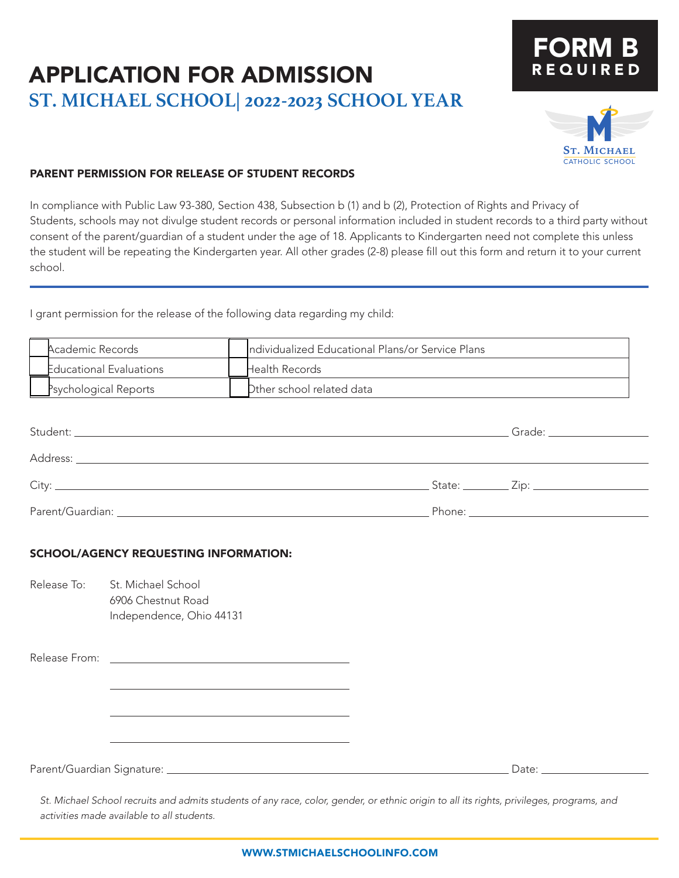# FORM B REQUIRED



### PARENT PERMISSION FOR RELEASE OF STUDENT RECORDS

In compliance with Public Law 93-380, Section 438, Subsection b (1) and b (2), Protection of Rights and Privacy of Students, schools may not divulge student records or personal information included in student records to a third party without consent of the parent/guardian of a student under the age of 18. Applicants to Kindergarten need not complete this unless the student will be repeating the Kindergarten year. All other grades (2-8) please fill out this form and return it to your current school.

I grant permission for the release of the following data regarding my child:

| Academic Records               | Individualized Educational Plans/or Service Plans |
|--------------------------------|---------------------------------------------------|
| <b>Educational Evaluations</b> | <b>Health Records</b>                             |
| Psychological Reports          | Dther school related data                         |

|  | Grade: __________________                   |
|--|---------------------------------------------|
|  |                                             |
|  | State: <u>__________</u> Zip: _____________ |
|  | Phone: _______________________              |

#### SCHOOL/AGENCY REQUESTING INFORMATION:

Release To: St. Michael School 6906 Chestnut Road Independence, Ohio 44131

Release From:

Parent/Guardian Signature: Date: Date: Date: Date: Date: Date: Date: Date: Date: Date: Date: Date: Date: Date: D

*St. Michael School recruits and admits students of any race, color, gender, or ethnic origin to all its rights, privileges, programs, and activities made available to all students.*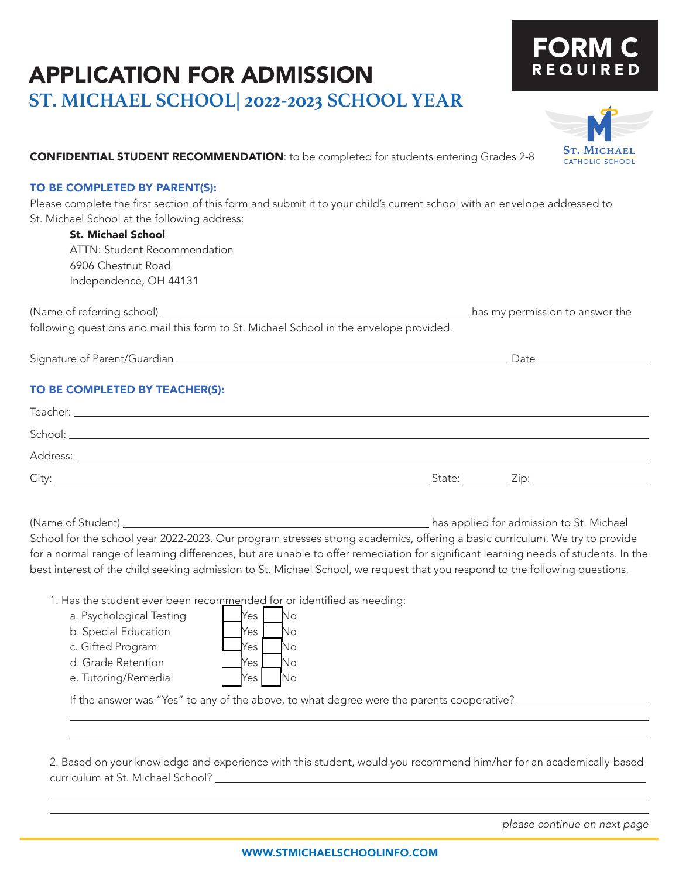# FORM REQUI



## **CONFIDENTIAL STUDENT RECOMMENDATION**: to be completed for students entering Grades 2-8 **ST. MICHAEL**

#### TO BE COMPLETED BY PARENT(S):

Please complete the first section of this form and submit it to your child's current school with an envelope addressed to St. Michael School at the following address:

### St. Michael School

ATTN: Student Recommendation 6906 Chestnut Road Independence, OH 44131

(Name of referring school) has my permission to answer the following questions and mail this form to St. Michael School in the envelope provided.

Signature of Parent/Guardian Date

## TO BE COMPLETED BY TEACHER(S):

| School:  |                        |      |
|----------|------------------------|------|
| Address: |                        |      |
| $C$ ity  | $\mathsf{State:}\_\_\$ | Zip: |

(Name of Student) has applied for admission to St. Michael School for the school year 2022-2023. Our program stresses strong academics, offering a basic curriculum. We try to provide for a normal range of learning differences, but are unable to offer remediation for significant learning needs of students. In the best interest of the child seeking admission to St. Michael School, we request that you respond to the following questions.

1. Has the student ever been recommended for or identified as needing:

| a. Psychological Testing |  | $Mes$ No |  |
|--------------------------|--|----------|--|
| .                        |  |          |  |

| b. Special Educatior |
|----------------------|
|                      |

 $\overline{a}$ 

 $\overline{a}$ 

| c. Gifted Program | $No$ $No$ |  |  |  |
|-------------------|-----------|--|--|--|
|-------------------|-----------|--|--|--|

|  |                                        | No. |
|--|----------------------------------------|-----|
|  |                                        | Nо  |
|  |                                        | No  |
|  |                                        | No  |
|  |                                        | N٥  |
|  | <b>Yes</b><br>Yes<br>Yes<br>Yes<br>Yes |     |

If the answer was "Yes" to any of the above, to what degree were the parents cooperative? \_\_\_\_\_\_\_\_\_\_\_\_\_\_\_\_\_\_\_

2. Based on your knowledge and experience with this student, would you recommend him/her for an academically-based curriculum at St. Michael School?

*please continue on next page*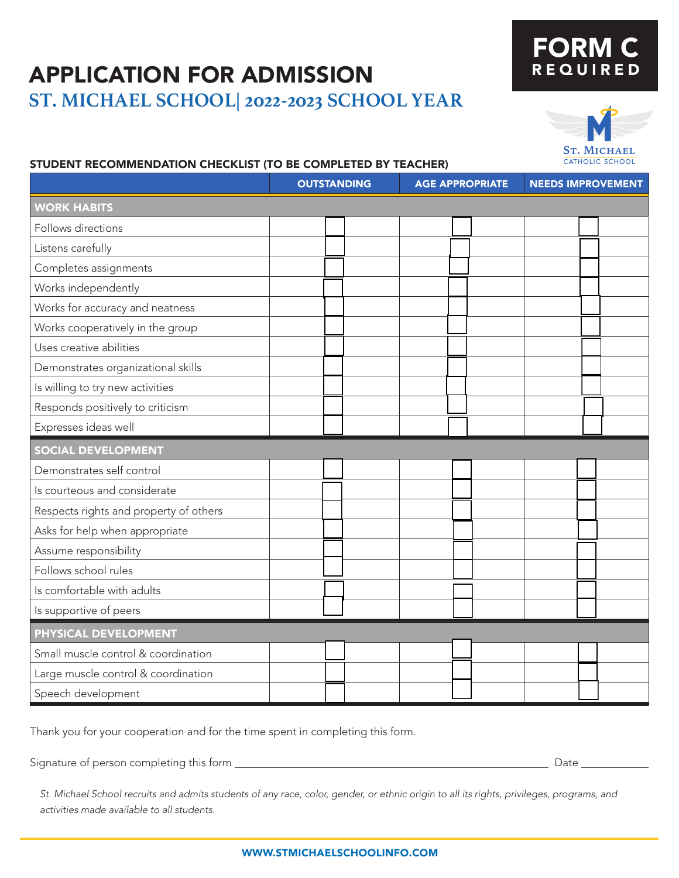# FORM C REQUIRED



### STUDENT RECOMMENDATION CHECKLIST (TO BE COMPLETED BY TEACHER)

|                                        | <b>OUTSTANDING</b> | <b>AGE APPROPRIATE</b> | <b>NEEDS IMPROVEMENT</b> |  |
|----------------------------------------|--------------------|------------------------|--------------------------|--|
| <b>WORK HABITS</b>                     |                    |                        |                          |  |
| Follows directions                     |                    |                        |                          |  |
| Listens carefully                      |                    |                        |                          |  |
| Completes assignments                  |                    |                        |                          |  |
| Works independently                    |                    |                        |                          |  |
| Works for accuracy and neatness        |                    |                        |                          |  |
| Works cooperatively in the group       |                    |                        |                          |  |
| Uses creative abilities                |                    |                        |                          |  |
| Demonstrates organizational skills     |                    |                        |                          |  |
| Is willing to try new activities       |                    |                        |                          |  |
| Responds positively to criticism       |                    |                        |                          |  |
| Expresses ideas well                   |                    |                        |                          |  |
| <b>SOCIAL DEVELOPMENT</b>              |                    |                        |                          |  |
| Demonstrates self control              |                    |                        |                          |  |
| Is courteous and considerate           |                    |                        |                          |  |
| Respects rights and property of others |                    |                        |                          |  |
| Asks for help when appropriate         |                    |                        |                          |  |
| Assume responsibility                  |                    |                        |                          |  |
| Follows school rules                   |                    |                        |                          |  |
| Is comfortable with adults             |                    |                        |                          |  |
| Is supportive of peers                 |                    |                        |                          |  |
| PHYSICAL DEVELOPMENT                   |                    |                        |                          |  |
| Small muscle control & coordination    |                    |                        |                          |  |
| Large muscle control & coordination    |                    |                        |                          |  |
| Speech development                     |                    |                        |                          |  |

Thank you for your cooperation and for the time spent in completing this form.

Signature of person completing this form Date

*St. Michael School recruits and admits students of any race, color, gender, or ethnic origin to all its rights, privileges, programs, and activities made available to all students.*